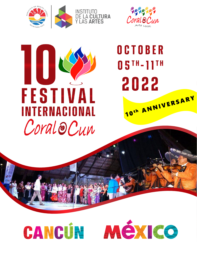



# ł **FESTIVAL INTERNACIONAL** Coral@Cun

# OCTOBER 05TH-11TH 2022 10th ANNIVERSARY



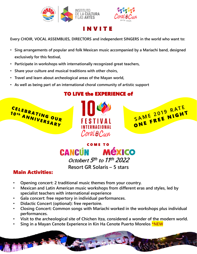



## I N V I T E

**Every CHOIR, VOCAL ASSEMBLIES, DIRECTORS and independent SINGERS in the world who want to:**

- **Sing arrangements of popular and folk Mexican music accompanied by a Mariachi band, designed exclusively for this festival,**
- **Participate in workshops with internationally recognized great teachers,**
- **Share your culture and musical traditions with other choirs,**
- **Travel and learn about archeological areas of the Mayan world,**
- **As well as being part of an international choral community of artistic support**

## TO LIVE the EXPERIENCE of



## C O M E T O **CANCUN MÉXICO Octobert 5 th to 11 th 2022 Resort GR Solaris – 5 stars**

## Main Activities:

- **Opening concert: 2 traditional music themes from your country.**
- **Mexican and Latin American music workshops from different eras and styles, led by specialist teachers with international experience**
- **Gala concert: free repertory in individual performances.**
- **Didactic Concert (optional): free repertoire.**
- **Closing Concert: Common songs with Mariachi worked in the workshops plus individual performances.**
- **Visit to the archeological site of Chichen Itza, considered a wonder of the modern world.**
- **Sing in a Mayan Cenote Experience in Kin Ha Cenote Puerto Morelos \*NEW**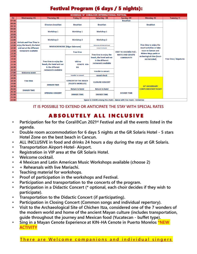# Festival Program (6 days / 5 nights):

| <b>SCHEDULE 10° CORALCUN INTERNATIONAL FESTIVAL</b> |                                                                                            |                                                                    |                                                    |                                                                                                 |                                                                       |                                                                                                    |                       |
|-----------------------------------------------------|--------------------------------------------------------------------------------------------|--------------------------------------------------------------------|----------------------------------------------------|-------------------------------------------------------------------------------------------------|-----------------------------------------------------------------------|----------------------------------------------------------------------------------------------------|-----------------------|
| Hr                                                  | <b>Wednesday 05</b>                                                                        | Thursday 06                                                        | Friday 07                                          | Saturday 08                                                                                     | Sunday 09                                                             | Monday 10                                                                                          | Tuesday 11            |
| 07:30                                               |                                                                                            |                                                                    |                                                    |                                                                                                 | <b>Breakfast</b>                                                      |                                                                                                    |                       |
| 08:00                                               | <b>Arrivals and Free Time to</b><br>enjoy the beach, the hotel<br>and eat at the different | <b>Directors breakfast</b>                                         | <b>Breakfast</b>                                   | <b>Breakfast</b>                                                                                |                                                                       | <b>Breakfast</b>                                                                                   |                       |
| 08:30                                               |                                                                                            |                                                                    |                                                    |                                                                                                 |                                                                       |                                                                                                    |                       |
| 09:00                                               |                                                                                            | <b>Workshop 1</b><br><b>Workshop 2</b>                             | <b>Workshop 1</b><br><b>Workshop 2</b>             | <b>Workshop 1</b><br><b>Workshop 2</b>                                                          |                                                                       |                                                                                                    |                       |
| 09:30                                               |                                                                                            |                                                                    |                                                    |                                                                                                 |                                                                       |                                                                                                    |                       |
| 10:00<br>10:30                                      |                                                                                            |                                                                    |                                                    |                                                                                                 |                                                                       |                                                                                                    |                       |
| 11:00                                               |                                                                                            |                                                                    |                                                    |                                                                                                 |                                                                       |                                                                                                    |                       |
| 11:30                                               |                                                                                            |                                                                    |                                                    |                                                                                                 |                                                                       |                                                                                                    |                       |
| 12:00                                               |                                                                                            | <b>MARIACHI MUSIC (Edgar Salzmann)</b>                             |                                                    | <b>Rehearsal with Mariachi band</b>                                                             |                                                                       | Free time to enjoy the<br>resort activities or take                                                |                       |
| 12:30                                               |                                                                                            |                                                                    |                                                    | <b>Concert to Guests</b>                                                                        |                                                                       |                                                                                                    |                       |
| 13:00                                               | restaurants available<br><b>Welcome event</b>                                              |                                                                    | <b>Free time</b>                                   | Free time to enjoy the<br>beach, the hotel and eat<br>in the different<br>restaurants available | VISIT TO CHICHÉN ITZÁ -<br><b>MAYA AND CENOTE</b><br><b>COMMUNITY</b> | tours to Cancun and<br><b>Riviera Maya parks or</b><br>archeological sites (tours<br>not included) | Free time / depatures |
| 13:30                                               |                                                                                            |                                                                    |                                                    |                                                                                                 |                                                                       |                                                                                                    |                       |
| 14:00                                               |                                                                                            |                                                                    | <b>Visit to</b><br><b>CENOTE KIN-</b><br><b>HA</b> |                                                                                                 |                                                                       |                                                                                                    |                       |
| 14:30                                               |                                                                                            |                                                                    |                                                    |                                                                                                 |                                                                       |                                                                                                    |                       |
| 15:00                                               |                                                                                            | Free time to enjoy the                                             |                                                    |                                                                                                 |                                                                       |                                                                                                    |                       |
| 15:30                                               |                                                                                            | beach, the hotel and eat<br>in the different                       |                                                    |                                                                                                 |                                                                       |                                                                                                    |                       |
| 16:00<br>16:30                                      |                                                                                            | restaurants available                                              |                                                    |                                                                                                 |                                                                       |                                                                                                    |                       |
| 17:00                                               |                                                                                            |                                                                    |                                                    | transfer to concert                                                                             |                                                                       |                                                                                                    |                       |
| 17:30                                               | <b>Free time</b>                                                                           |                                                                    | transfer to concert                                | sound check                                                                                     |                                                                       |                                                                                                    |                       |
| 18:00                                               |                                                                                            |                                                                    |                                                    | <b>CLOSURE CONCERT</b>                                                                          |                                                                       | <b>10° ANIVERSARY</b>                                                                              |                       |
| 18:30                                               |                                                                                            |                                                                    | <b>CONCERT BY THE BEACH</b>                        |                                                                                                 |                                                                       |                                                                                                    |                       |
| 19:00                                               |                                                                                            | <b>DINNER TIME</b>                                                 | (PUERTO MORELOS)                                   |                                                                                                 |                                                                       |                                                                                                    |                       |
| 19:30                                               |                                                                                            |                                                                    |                                                    |                                                                                                 |                                                                       |                                                                                                    |                       |
| 20:00                                               | <b>DINNER TIME</b>                                                                         | <b>OPENING CONCERT</b>                                             | <b>Return to hotel</b>                             | <b>Return to hotel</b>                                                                          |                                                                       | <b>COMPLIMENTARY NIGHT</b>                                                                         |                       |
| 20:30                                               |                                                                                            |                                                                    | <b>DINNER TIME</b>                                 | <b>DINNER TIME</b>                                                                              | <b>DINNER TIME</b>                                                    |                                                                                                    |                       |
| 21:00                                               |                                                                                            |                                                                    |                                                    |                                                                                                 |                                                                       |                                                                                                    |                       |
| 21:30                                               |                                                                                            |                                                                    |                                                    |                                                                                                 |                                                                       |                                                                                                    |                       |
| 22:00                                               |                                                                                            | Space to SHARE among the choirs - dance with live music - bohemias |                                                    |                                                                                                 |                                                                       |                                                                                                    |                       |

#### **IT IS POSSIBLE TO EXTEND OR ANTICIPATE THE STAY WITH SPECIAL RATES**

## **ABSOLUTELY ALL INCLUSIVE**

- **Participation fee for the Coral**ම**Cun 2021st Festival and all the events listed in the agenda.**
- **Double room accommodation for 6 days 5 nights at the GR Solaris Hotel - 5 stars Hotel Zone on the best beach in Cancun.**
- **ALL INCLUSIVE in food and drinks 24 hours a day during the stay at GR Solaris.**
- **Transportation Airport-Hotel- Airport.**
- **Registration in VIP area at the GR Solaris Hotel.**
- **Welcome cocktail.**
- **4 Mexican and Latin American Music Workshops available (choose 2)**
- **+ Rehearsals with live Mariachi.**
- **Teaching material for workshops.**
- **Proof of participation in the workshops and Festival.**
- **Participation and transportation to the concerts of the program.**
- **Participation in a Didactic Concert (\* optional, each choir decides if they wish to participate).**
- **Transportation to the Didactic Concert (if participating).**
- **Participation in Closing Concert (Common songs and individual repertory).**
- **Visit to the Archaeological Site of Chichen Itza, considered one of the 7 wonders of the modern world and home of the ancient Mayan culture (includes transportation, guide throughout the journey and Mexican food (Yucatecan - buffet type).**
- **Sing in a Mayan Cenote Experience at KIN-HA Cenote in Puerto Morelos \*NEW ACTIVITY**